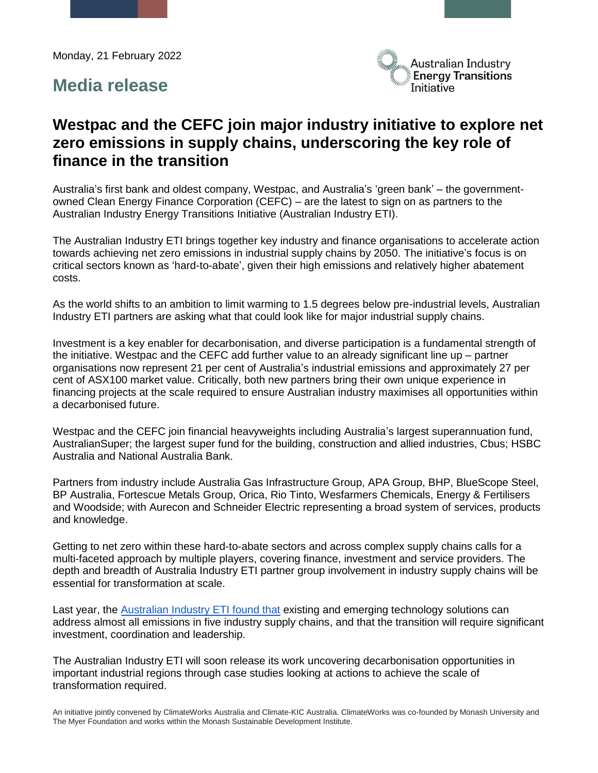Monday, 21 February 2022

## **Media release**



# **Westpac and the CEFC join major industry initiative to explore net zero emissions in supply chains, underscoring the key role of finance in the transition**

Australia's first bank and oldest company, Westpac, and Australia's 'green bank' – the governmentowned Clean Energy Finance Corporation (CEFC) – are the latest to sign on as partners to the Australian Industry Energy Transitions Initiative (Australian Industry ETI).

The Australian Industry ETI brings together key industry and finance organisations to accelerate action towards achieving net zero emissions in industrial supply chains by 2050. The initiative's focus is on critical sectors known as 'hard-to-abate', given their high emissions and relatively higher abatement costs.

As the world shifts to an ambition to limit warming to 1.5 degrees below pre-industrial levels, Australian Industry ETI partners are asking what that could look like for major industrial supply chains.

Investment is a key enabler for decarbonisation, and diverse participation is a fundamental strength of the initiative. Westpac and the CEFC add further value to an already significant line up – partner organisations now represent 21 per cent of Australia's industrial emissions and approximately 27 per cent of ASX100 market value. Critically, both new partners bring their own unique experience in financing projects at the scale required to ensure Australian industry maximises all opportunities within a decarbonised future.

Westpac and the CEFC join financial heavyweights including Australia's largest superannuation fund, AustralianSuper; the largest super fund for the building, construction and allied industries, Cbus; HSBC Australia and National Australia Bank.

Partners from industry include Australia Gas Infrastructure Group, APA Group, BHP, BlueScope Steel, BP Australia, Fortescue Metals Group, Orica, Rio Tinto, Wesfarmers Chemicals, Energy & Fertilisers and Woodside; with Aurecon and Schneider Electric representing a broad system of services, products and knowledge.

Getting to net zero within these hard-to-abate sectors and across complex supply chains calls for a multi-faceted approach by multiple players, covering finance, investment and service providers. The depth and breadth of Australia Industry ETI partner group involvement in industry supply chains will be essential for transformation at scale.

Last year, the [Australian Industry ETI found that](https://www.climateworksaustralia.org/resource/australian-industry-energy-transitions-initiative-phase-1-report/) existing and emerging technology solutions can address almost all emissions in five industry supply chains, and that the transition will require significant investment, coordination and leadership.

The Australian Industry ETI will soon release its work uncovering decarbonisation opportunities in important industrial regions through case studies looking at actions to achieve the scale of transformation required.

An initiative jointly convened by ClimateWorks Australia and Climate-KIC Australia. ClimateWorks was co-founded by Monash University and The Myer Foundation and works within the Monash Sustainable Development Institute.